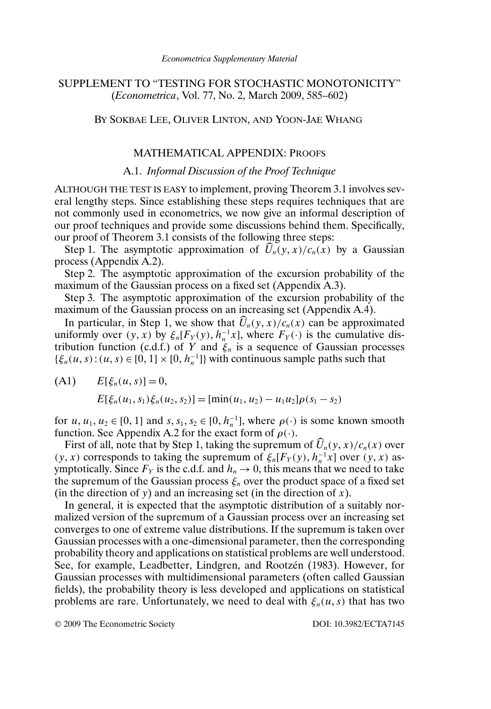# SUPPLEMENT TO "TESTING FOR STOCHASTIC MONOTONICITY" (*Econometrica*, Vol. 77, No. 2, March 2009, 585–602)

# BY SOKBAE LEE, OLIVER LINTON, AND YOON-JAE WHANG

# MATHEMATICAL APPENDIX: PROOFS

# A.1. *Informal Discussion of the Proof Technique*

ALTHOUGH THE TEST IS EASY to implement, proving Theorem 3.1 involves several lengthy steps. Since establishing these steps requires techniques that are not commonly used in econometrics, we now give an informal description of our proof techniques and provide some discussions behind them. Specifically, our proof of Theorem 3.1 consists of the following three steps:

Step 1. The asymptotic approximation of  $U_n(y, x)/c_n(x)$  by a Gaussian process (Appendix A.2).

Step 2. The asymptotic approximation of the excursion probability of the maximum of the Gaussian process on a fixed set (Appendix A.3).

Step 3. The asymptotic approximation of the excursion probability of the maximum of the Gaussian process on an increasing set (Appendix A.4).

In particular, in Step 1, we show that  $U_n(y, x)/c_n(x)$  can be approximated uniformly over  $(y, x)$  by  $\xi_n[F_Y(y), h_n^{-1}x]$ , where  $F_Y(\cdot)$  is the cumulative distribution function (c.d.f.) of Y and  $\xi_n$  is a sequence of Gaussian processes  $\{\xi_n(u, s) : (u, s) \in [0, 1] \times [0, h_n^{-1}]\}$  with continuous sample paths such that

(A1) 
$$
E[\xi_n(u, s)] = 0,
$$
  
\n $E[\xi_n(u_1, s_1)\xi_n(u_2, s_2)] = [\min(u_1, u_2) - u_1u_2]\rho(s_1 - s_2)$ 

for  $u, u_1, u_2 \in [0, 1]$  and  $s, s_1, s_2 \in [0, h_n^{-1}]$ , where  $\rho(\cdot)$  is some known smooth function. See Appendix A.2 for the exact form of  $\rho(\cdot)$ .

First of all, note that by Step 1, taking the supremum of  $U_n(y, x)/c_n(x)$  over  $(y, x)$  corresponds to taking the supremum of  $\xi_n[F_Y(y), h_n^{-1}x]$  over  $(y, x)$  asymptotically. Since  $F_Y$  is the c.d.f. and  $h_n \to 0$ , this means that we need to take the supremum of the Gaussian process  $\xi_n$  over the product space of a fixed set (in the direction of y) and an increasing set (in the direction of x).

In general, it is expected that the asymptotic distribution of a suitably normalized version of the supremum of a Gaussian process over an increasing set converges to one of extreme value distributions. If the supremum is taken over Gaussian processes with a one-dimensional parameter, then the corresponding probability theory and applications on statistical problems are well understood. See, for example, Leadbetter, Lindgren, and Rootzén (1983). However, for Gaussian processes with multidimensional parameters (often called Gaussian fields), the probability theory is less developed and applications on statistical problems are rare. Unfortunately, we need to deal with  $\xi_n(u, s)$  that has two

© 2009 The Econometric Society DOI: 10.3982/ECTA7145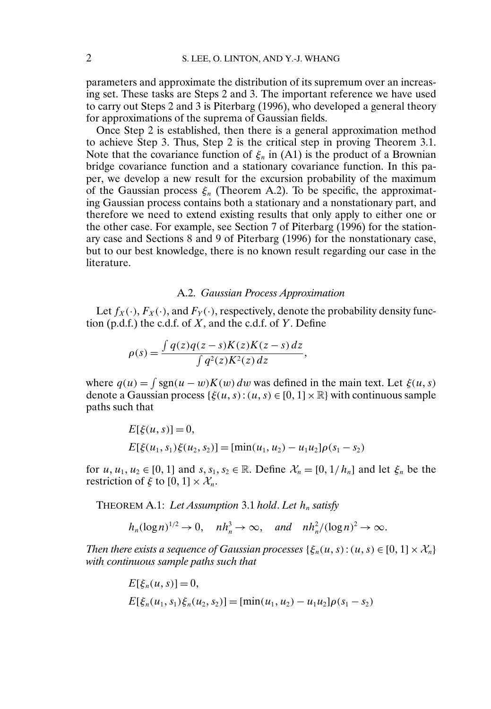parameters and approximate the distribution of its supremum over an increasing set. These tasks are Steps 2 and 3. The important reference we have used to carry out Steps 2 and 3 is Piterbarg (1996), who developed a general theory for approximations of the suprema of Gaussian fields.

Once Step 2 is established, then there is a general approximation method to achieve Step 3. Thus, Step 2 is the critical step in proving Theorem 3.1. Note that the covariance function of  $\xi_n$  in (A1) is the product of a Brownian bridge covariance function and a stationary covariance function. In this paper, we develop a new result for the excursion probability of the maximum of the Gaussian process  $\xi_n$  (Theorem A.2). To be specific, the approximating Gaussian process contains both a stationary and a nonstationary part, and therefore we need to extend existing results that only apply to either one or the other case. For example, see Section 7 of Piterbarg (1996) for the stationary case and Sections 8 and 9 of Piterbarg (1996) for the nonstationary case, but to our best knowledge, there is no known result regarding our case in the literature.

### A.2. *Gaussian Process Approximation*

Let  $f_X(\cdot)$ ,  $F_X(\cdot)$ , and  $F_Y(\cdot)$ , respectively, denote the probability density function (p.d.f.) the c.d.f. of  $X$ , and the c.d.f. of  $Y$ . Define

$$
\rho(s) = \frac{\int q(z)q(z-s)K(z)K(z-s) dz}{\int q^2(z)K^2(z) dz},
$$

where  $q(u) = \int \text{sgn}(u - w) K(w) dw$  was defined in the main text. Let  $\xi(u, s)$ denote a Gaussian process  $\{\xi(u, s) : (u, s) \in [0, 1] \times \mathbb{R}\}\)$  with continuous sample paths such that

$$
E[\xi(u, s)] = 0,
$$
  
\n
$$
E[\xi(u_1, s_1)\xi(u_2, s_2)] = [\min(u_1, u_2) - u_1u_2]\rho(s_1 - s_2)
$$

for  $u, u_1, u_2 \in [0, 1]$  and  $s, s_1, s_2 \in \mathbb{R}$ . Define  $\mathcal{X}_n = [0, 1/h_n]$  and let  $\xi_n$  be the restriction of  $\xi$  to  $[0, 1] \times \mathcal{X}_n$ .

THEOREM A.1: Let Assumption 3.1 hold. Let  $h_n$  satisfy

$$
h_n(\log n)^{1/2} \to 0
$$
,  $nh_n^3 \to \infty$ , and  $nh_n^2/(\log n)^2 \to \infty$ .

*Then there exists a sequence of Gaussian processes*  $\{\xi_n(u, s) : (u, s) \in [0, 1] \times \mathcal{X}_n\}$ *with continuous sample paths such that*

$$
E[\xi_n(u, s)] = 0,
$$
  
\n
$$
E[\xi_n(u_1, s_1)\xi_n(u_2, s_2)] = [\min(u_1, u_2) - u_1u_2]\rho(s_1 - s_2)
$$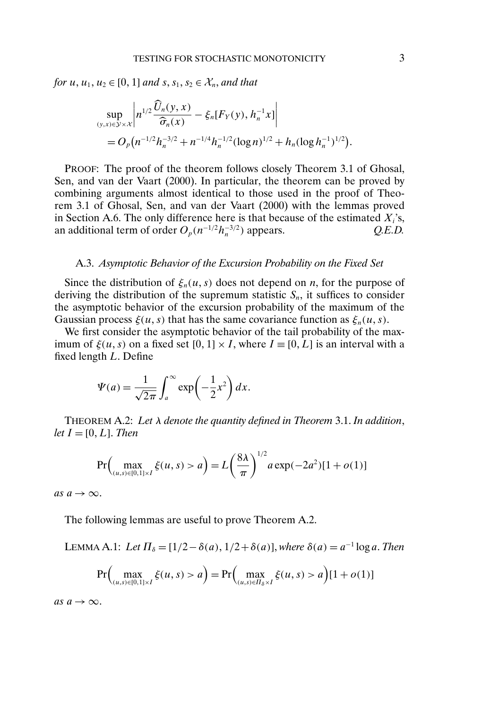*for*  $u, u_1, u_2 \in [0, 1]$  *and*  $s, s_1, s_2 \in \mathcal{X}_n$ *, and that* 

$$
\sup_{(y,x)\in\mathcal{Y}\times\mathcal{X}}\left|n^{1/2}\frac{\widehat{U}_n(y,x)}{\widehat{\sigma}_n(x)}-\xi_n[F_Y(y),h_n^{-1}x]\right|
$$
  
=  $O_p(n^{-1/2}h_n^{-3/2}+n^{-1/4}h_n^{-1/2}(\log n)^{1/2}+h_n(\log h_n^{-1})^{1/2}).$ 

PROOF: The proof of the theorem follows closely Theorem 3.1 of Ghosal, Sen, and van der Vaart (2000). In particular, the theorem can be proved by combining arguments almost identical to those used in the proof of Theorem 3.1 of Ghosal, Sen, and van der Vaart (2000) with the lemmas proved in Section A.6. The only difference here is that because of the estimated  $X_i$ 's, an additional term of order  $O_p(n^{-1/2}h_n^{-3/2})$  appears.  $Q.E.D.$ 

### A.3. *Asymptotic Behavior of the Excursion Probability on the Fixed Set*

Since the distribution of  $\xi_n(u, s)$  does not depend on *n*, for the purpose of deriving the distribution of the supremum statistic  $S_n$ , it suffices to consider the asymptotic behavior of the excursion probability of the maximum of the Gaussian process  $\xi(u, s)$  that has the same covariance function as  $\xi_n(u, s)$ .

We first consider the asymptotic behavior of the tail probability of the maximum of  $\xi(u, s)$  on a fixed set  $[0, 1] \times I$ , where  $I \equiv [0, L]$  is an interval with a fixed length L. Define

$$
\Psi(a) = \frac{1}{\sqrt{2\pi}} \int_{a}^{\infty} \exp\left(-\frac{1}{2}x^{2}\right) dx.
$$

THEOREM A.2: *Let* λ *denote the quantity defined in Theorem* 3.1. *In addition*,  $let I = [0, L]$ . *Then* 

$$
\Pr\Big(\max_{(u,s)\in[0,1]\times I} \xi(u,s) > a\Big) = L\left(\frac{8\lambda}{\pi}\right)^{1/2} a \exp(-2a^2)[1 + o(1)]
$$

*as*  $a \rightarrow \infty$ .

The following lemmas are useful to prove Theorem A.2.

LEMMA A.1: *Let*  $\Pi_{\delta} = [1/2 - \delta(a), 1/2 + \delta(a)]$ , *where*  $\delta(a) = a^{-1} \log a$ . *Then* 

$$
\Pr\Big(\max_{(u,s)\in[0,1]\times I}\xi(u,s) > a\Big) = \Pr\Big(\max_{(u,s)\in\mathcal{H}_{\delta}\times I}\xi(u,s) > a\Big)[1+o(1)]
$$

*as*  $a \rightarrow \infty$ .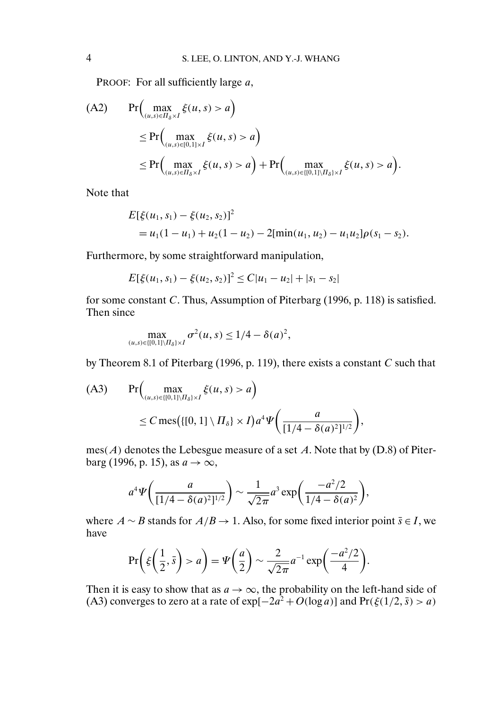PROOF: For all sufficiently large a,

(A2) 
$$
\Pr\left(\max_{(u,s)\in\Pi_{\delta}\times I} \xi(u,s) > a\right) \leq \Pr\left(\max_{(u,s)\in[0,1]\times I} \xi(u,s) > a\right) \leq \Pr\left(\max_{(u,s)\in\Pi_{\delta}\times I} \xi(u,s) > a\right) + \Pr\left(\max_{(u,s)\in\{[0,1]\setminus\Pi_{\delta}\}\times I} \xi(u,s) > a\right).
$$

Note that

$$
E[\xi(u_1, s_1) - \xi(u_2, s_2)]^2
$$
  
=  $u_1(1 - u_1) + u_2(1 - u_2) - 2[\min(u_1, u_2) - u_1u_2]\rho(s_1 - s_2).$ 

Furthermore, by some straightforward manipulation,

$$
E[\xi(u_1, s_1) - \xi(u_2, s_2)]^2 \le C|u_1 - u_2| + |s_1 - s_2|
$$

for some constant C. Thus, Assumption of Piterbarg (1996, p. 118) is satisfied. Then since

$$
\max_{(u,s)\in\{[0,1]\setminus\prod_{\delta\} \times I}} \sigma^2(u,s) \le 1/4 - \delta(a)^2,
$$

by Theorem 8.1 of Piterbarg (1996, p. 119), there exists a constant C such that

(A3) 
$$
\Pr\left(\max_{(u,s)\in\{[(0,1]\setminus\prod_{\delta\}x)}\xi(u,s)>a\right) \leq C \operatorname{mes}\left(\{[(0,1]\setminus\prod_{\delta\}x)\right) a^4 \Psi\left(\frac{a}{[1/4-\delta(a)^2]^{1/2}}\right),
$$

 $mes(A)$  denotes the Lebesgue measure of a set A. Note that by (D.8) of Piterbarg (1996, p. 15), as  $a \rightarrow \infty$ ,

$$
a^4 \Psi \bigg( \frac{a}{[1/4 - \delta(a)^2]^{1/2}} \bigg) \sim \frac{1}{\sqrt{2\pi}} a^3 \exp \bigg( \frac{-a^2/2}{1/4 - \delta(a)^2} \bigg),
$$

where  $A \sim B$  stands for  $A/B \to 1$ . Also, for some fixed interior point  $\bar{s} \in I$ , we have

$$
\Pr\bigg(\xi\bigg(\frac{1}{2},\bar{s}\bigg) > a\bigg) = \Psi\bigg(\frac{a}{2}\bigg) \sim \frac{2}{\sqrt{2\pi}}a^{-1}\exp\bigg(\frac{-a^2/2}{4}\bigg).
$$

Then it is easy to show that as  $a \to \infty$ , the probability on the left-hand side of (A3) converges to zero at a rate of  $\exp[-2a^2 + O(\log a)]$  and  $\Pr(\xi(1/2, \bar{s}) > a)$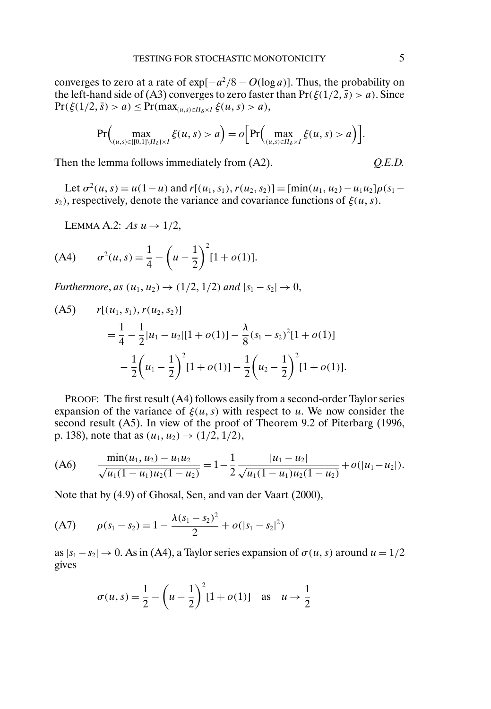converges to zero at a rate of  $\exp[-a^2/8 - O(\log a)]$ . Thus, the probability on the left-hand side of (A3) converges to zero faster than  $Pr(\xi(1/2, \bar{s}) > a)$ . Since  $Pr(\xi(1/2, \bar{s}) > a) \le Pr(max_{(u,s)\in \Pi_{\delta} \times I} \xi(u, s) > a),$ 

$$
\Pr\Big(\max_{(u,s)\in\{[(0,1)]\setminus\Pi_{\delta}\}\times I}\xi(u,s)>a\Big)=o\Big[\Pr\Big(\max_{(u,s)\in\Pi_{\delta}\times I}\xi(u,s)>a\Big)\Big].
$$

Then the lemma follows immediately from (A2). *Q.E.D.* 

Let  $\sigma^2(u, s) = u(1-u)$  and  $r[(u_1, s_1), r(u_2, s_2)] = [\min(u_1, u_2) - u_1u_2]\rho(s_1$  $s_2$ ), respectively, denote the variance and covariance functions of  $\xi(u, s)$ .

LEMMA A.2:  $As u \rightarrow 1/2$ ,

(A4) 
$$
\sigma^2(u,s) = \frac{1}{4} - \left(u - \frac{1}{2}\right)^2 [1 + o(1)].
$$

*Furthermore*, *as*  $(u_1, u_2) \rightarrow (1/2, 1/2)$  *and*  $|s_1 - s_2| \rightarrow 0$ ,

(A5) 
$$
r[(u_1, s_1), r(u_2, s_2)]
$$
  
=  $\frac{1}{4} - \frac{1}{2} |u_1 - u_2| [1 + o(1)] - \frac{\lambda}{8} (s_1 - s_2)^2 [1 + o(1)]$   
 $-\frac{1}{2} (u_1 - \frac{1}{2})^2 [1 + o(1)] - \frac{1}{2} (u_2 - \frac{1}{2})^2 [1 + o(1)].$ 

PROOF: The first result (A4) follows easily from a second-order Taylor series expansion of the variance of  $\xi(u, s)$  with respect to u. We now consider the second result (A5). In view of the proof of Theorem 9.2 of Piterbarg (1996, p. 138), note that as  $(u_1, u_2) \rightarrow (1/2, 1/2)$ ,

$$
(A6) \qquad \frac{\min(u_1, u_2) - u_1 u_2}{\sqrt{u_1(1 - u_1)u_2(1 - u_2)}} = 1 - \frac{1}{2} \frac{|u_1 - u_2|}{\sqrt{u_1(1 - u_1)u_2(1 - u_2)}} + o(|u_1 - u_2|).
$$

Note that by (4.9) of Ghosal, Sen, and van der Vaart (2000),

(A7) 
$$
\rho(s_1 - s_2) = 1 - \frac{\lambda(s_1 - s_2)^2}{2} + o(|s_1 - s_2|^2)
$$

as  $|s_1 - s_2| \to 0$ . As in (A4), a Taylor series expansion of  $\sigma(u, s)$  around  $u = 1/2$ gives

$$
\sigma(u, s) = \frac{1}{2} - \left(u - \frac{1}{2}\right)^2 [1 + o(1)] \text{ as } u \to \frac{1}{2}
$$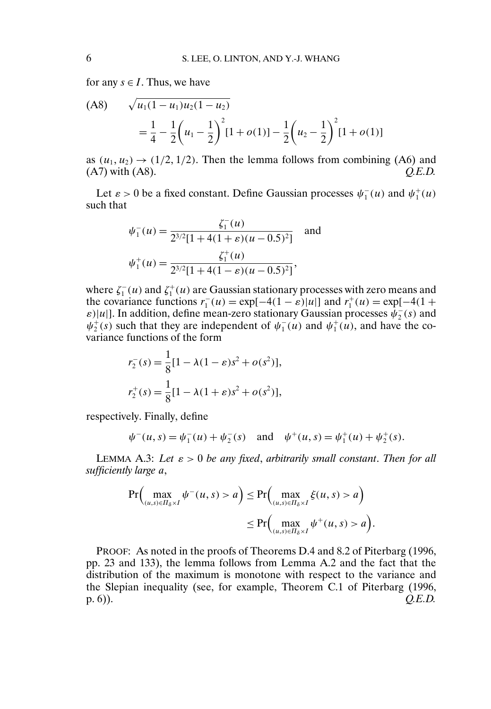for any  $s \in I$ . Thus, we have

$$
\begin{aligned} \text{(A8)} \qquad & \sqrt{u_1(1 - u_1)u_2(1 - u_2)} \\ &= \frac{1}{4} - \frac{1}{2} \left( u_1 - \frac{1}{2} \right)^2 [1 + o(1)] - \frac{1}{2} \left( u_2 - \frac{1}{2} \right)^2 [1 + o(1)] \end{aligned}
$$

as  $(u_1, u_2) \rightarrow (1/2, 1/2)$ . Then the lemma follows from combining (A6) and (A7) with (A8). *Q.E.D.*

Let  $\varepsilon > 0$  be a fixed constant. Define Gaussian processes  $\psi_1^-(u)$  and  $\psi_1^+(u)$ such that

$$
\psi_1^-(u) = \frac{\zeta_1^-(u)}{2^{3/2}[1 + 4(1 + \varepsilon)(u - 0.5)^2]} \quad \text{and}
$$

$$
\psi_1^+(u) = \frac{\zeta_1^+(u)}{2^{3/2}[1 + 4(1 - \varepsilon)(u - 0.5)^2]},
$$

where  $\zeta_1^-(u)$  and  $\zeta_1^+(u)$  are Gaussian stationary processes with zero means and the covariance functions  $r_1^-(u) = \exp[-4(1 - \varepsilon)|u|]$  and  $r_1^+(u) = \exp[-4(1 +$  $\varepsilon$ )|u|]. In addition, define mean-zero stationary Gaussian processes  $\hat{\psi}_2^-(s)$  and  $\psi_2^+(s)$  such that they are independent of  $\psi_1^-(u)$  and  $\psi_1^+(\tilde{u})$ , and have the covariance functions of the form

$$
r_2^-(s) = \frac{1}{8} [1 - \lambda (1 - \varepsilon)s^2 + o(s^2)],
$$
  

$$
r_2^+(s) = \frac{1}{8} [1 - \lambda (1 + \varepsilon)s^2 + o(s^2)],
$$

respectively. Finally, define

$$
\psi^-(u, s) = \psi_1^-(u) + \psi_2^-(s)
$$
 and  $\psi^+(u, s) = \psi_1^+(u) + \psi_2^+(s)$ .

LEMMA A.3: *Let* ε > 0 *be any fixed*, *arbitrarily small constant*. *Then for all sufficiently large* a,

$$
\Pr\left(\max_{(u,s)\in\Pi_{\delta}\times I}\psi^-(u,s)>a\right)\leq \Pr\left(\max_{(u,s)\in\Pi_{\delta}\times I}\xi(u,s)>a\right)
$$

$$
\leq \Pr\left(\max_{(u,s)\in\Pi_{\delta}\times I}\psi^+(u,s)>a\right).
$$

PROOF: As noted in the proofs of Theorems D.4 and 8.2 of Piterbarg (1996, pp. 23 and 133), the lemma follows from Lemma A.2 and the fact that the distribution of the maximum is monotone with respect to the variance and the Slepian inequality (see, for example, Theorem C.1 of Piterbarg (1996, p. 6)).  $Q.E.D.$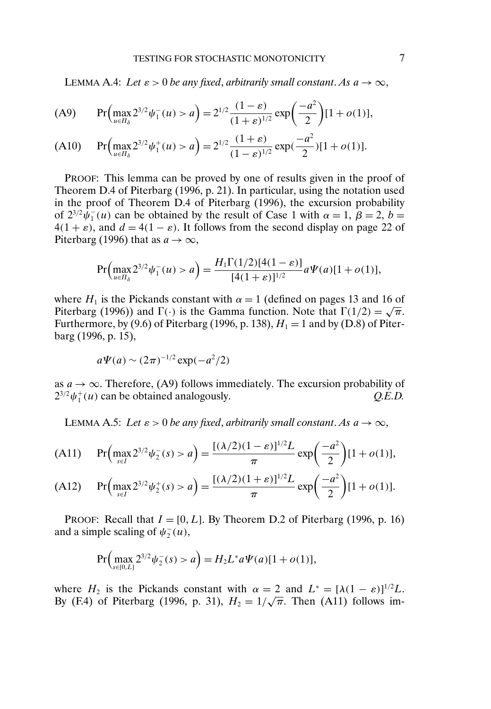LEMMA A.4: *Let*  $\varepsilon > 0$  *be any fixed, arbitrarily small constant. As*  $a \to \infty$ ,

(A9) 
$$
\Pr\left(\max_{u \in \Pi_{\delta}} 2^{3/2} \psi_1^-(u) > a\right) = 2^{1/2} \frac{(1-\varepsilon)}{(1+\varepsilon)^{1/2}} \exp\left(\frac{-a^2}{2}\right) [1 + o(1)],
$$

(A10) 
$$
\Pr\left(\max_{u \in \Pi_{\delta}} 2^{3/2} \psi_1^+(u) > a\right) = 2^{1/2} \frac{(1+\varepsilon)}{(1-\varepsilon)^{1/2}} \exp\left(\frac{-a^2}{2}\right) [1+o(1)].
$$

PROOF: This lemma can be proved by one of results given in the proof of Theorem D.4 of Piterbarg (1996, p. 21). In particular, using the notation used in the proof of Theorem D.4 of Piterbarg (1996), the excursion probability of  $2^{3/2} \bar{\psi}_1^-(u)$  can be obtained by the result of Case 1 with  $\alpha = 1$ ,  $\beta = 2$ ,  $b =$  $4(1 + \varepsilon)$ , and  $d = 4(1 - \varepsilon)$ . It follows from the second display on page 22 of Piterbarg (1996) that as  $a \to \infty$ ,

$$
\Pr\Big(\max_{u\in\Pi_{\delta}} 2^{3/2}\psi_1^-(u) > a\Big) = \frac{H_1\Gamma(1/2)[4(1-\varepsilon)]}{[4(1+\varepsilon)]^{1/2}}a\Psi(a)[1+o(1)],
$$

where  $H_1$  is the Pickands constant with  $\alpha = 1$  (defined on pages 13 and 16 of Piterbarg (1996)) and  $\Gamma(\cdot)$  is the Gamma function. Note that  $\Gamma(1/2) = \sqrt{\pi}$ . Furthermore, by (9.6) of Piterbarg (1996, p. 138),  $H_1 = 1$  and by (D.8) of Piterbarg (1996, p. 15),

$$
a\Psi(a) \sim (2\pi)^{-1/2} \exp(-a^2/2)
$$

as  $a \to \infty$ . Therefore, (A9) follows immediately. The excursion probability of  $2^{3/2}\psi_1^+(u)$  can be obtained analogously.  $Q.E.D.$ 

LEMMA A.5: Let  $\varepsilon > 0$  be any fixed, arbitrarily small constant. As  $a \to \infty$ ,

(A11) 
$$
\Pr\left(\max_{s\in I} 2^{3/2} \psi_2^-(s) > a\right) = \frac{[(\lambda/2)(1-\varepsilon)]^{1/2}L}{\pi} \exp\left(\frac{-a^2}{2}\right)[1+o(1)],
$$

(A12) 
$$
\Pr\left(\max_{s\in I} 2^{3/2} \psi_2^+(s) > a\right) = \frac{[(\lambda/2)(1+\varepsilon)]^{1/2}L}{\pi} \exp\left(\frac{-a^2}{2}\right)[1+o(1)].
$$

PROOF: Recall that  $I = [0, L]$ . By Theorem D.2 of Piterbarg (1996, p. 16) and a simple scaling of  $\psi_2^-(u)$ ,

$$
\Pr\left(\max_{s\in[0,L]} 2^{3/2}\psi_2^-(s) > a\right) = H_2 L^* a \Psi(a)[1 + o(1)],
$$

where  $H_2$  is the Pickands constant with  $\alpha = 2$  and  $L^* = [\lambda(1 - \varepsilon)]^{1/2}L$ . where  $H_2$  is the Pickands constant with  $\alpha = 2$  and  $L^2 = [A(1 - \varepsilon)]^{1/2}L$ .<br>By (F.4) of Piterbarg (1996, p. 31),  $H_2 = 1/\sqrt{\pi}$ . Then (A11) follows im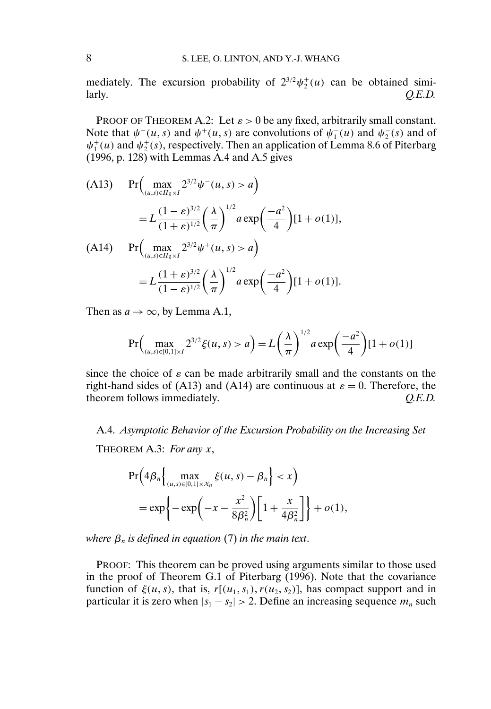mediately. The excursion probability of  $2^{3/2}\psi_2^+(u)$  can be obtained similarly. *Q.E.D.*

PROOF OF THEOREM A.2: Let  $\varepsilon > 0$  be any fixed, arbitrarily small constant. Note that  $\psi^-(u, s)$  and  $\psi^+(u, s)$  are convolutions of  $\psi^-_1(u)$  and  $\psi^-_2(s)$  and of  $\psi_1^+(u)$  and  $\psi_2^+(s)$ , respectively. Then an application of Lemma 8.6 of Piterbarg (1996, p. 128) with Lemmas A.4 and A.5 gives

(A13) 
$$
\Pr\left(\max_{(u,s)\in\overline{H}_{\delta}\times I} 2^{3/2} \psi^{-}(u,s) > a\right)
$$
  
\n
$$
= L \frac{(1-e)^{3/2}}{(1+e)^{1/2}} \left(\frac{\lambda}{\pi}\right)^{1/2} a \exp\left(\frac{-a^2}{4}\right) [1+o(1)],
$$
  
\n(A14) 
$$
\Pr\left(\max_{(u,s)\in\overline{H}_{\delta}\times I} 2^{3/2} \psi^{+}(u,s) > a\right)
$$
  
\n
$$
= L \frac{(1+e)^{3/2}}{(1-e)^{1/2}} \left(\frac{\lambda}{\pi}\right)^{1/2} a \exp\left(\frac{-a^2}{4}\right) [1+o(1)].
$$

Then as  $a \to \infty$ , by Lemma A.1,

$$
\Pr\Big(\max_{(u,s)\in[0,1]\times I} 2^{3/2}\xi(u,s) > a\Big) = L\left(\frac{\lambda}{\pi}\right)^{1/2} a \exp\left(\frac{-a^2}{4}\right) [1 + o(1)]
$$

since the choice of  $\varepsilon$  can be made arbitrarily small and the constants on the right-hand sides of (A13) and (A14) are continuous at  $\varepsilon = 0$ . Therefore, the theorem follows immediately.  $Q.E.D.$ 

A.4. *Asymptotic Behavior of the Excursion Probability on the Increasing Set*

THEOREM A.3: *For any* x,

$$
\Pr\left(4\beta_n \left\{\max_{(u,s)\in[0,1]\times\mathcal{X}_n} \xi(u,s) - \beta_n\right\} < x\right)
$$
\n
$$
= \exp\left\{-\exp\left(-x - \frac{x^2}{8\beta_n^2}\right)\left[1 + \frac{x}{4\beta_n^2}\right]\right\} + o(1),
$$

*where*  $\beta_n$  *is defined in equation* (7) *in the main text.* 

PROOF: This theorem can be proved using arguments similar to those used in the proof of Theorem G.1 of Piterbarg (1996). Note that the covariance function of  $\xi(u, s)$ , that is,  $r[(u_1, s_1), r(u_2, s_2)]$ , has compact support and in particular it is zero when  $|s_1 - s_2| > 2$ . Define an increasing sequence  $m_n$  such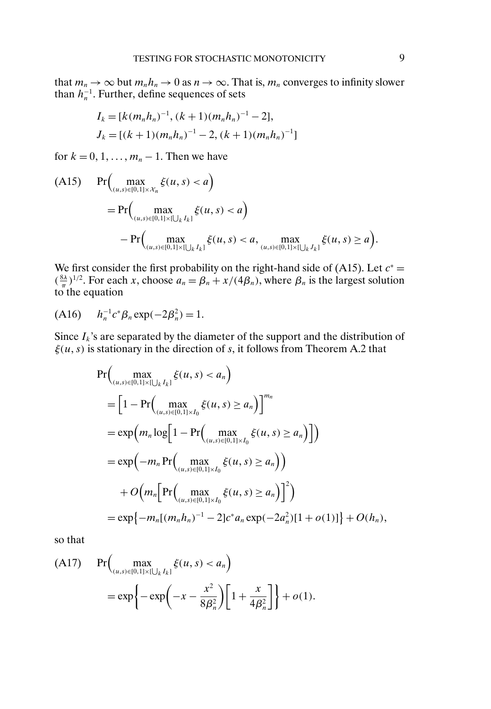that  $m_n \to \infty$  but  $m_n h_n \to 0$  as  $n \to \infty$ . That is,  $m_n$  converges to infinity slower than  $h_n^{-1}$ . Further, define sequences of sets

$$
I_k = [k(m_n h_n)^{-1}, (k+1)(m_n h_n)^{-1} - 2],
$$
  
\n
$$
J_k = [(k+1)(m_n h_n)^{-1} - 2, (k+1)(m_n h_n)^{-1}]
$$

for  $k = 0, 1, \ldots, m_n - 1$ . Then we have

$$
\begin{aligned} \text{(A15)} \quad & \Pr\Big(\max_{(u,s)\in[0,1]\times\mathcal{X}_n} \xi(u,s) < a\Big) \\ & = \Pr\Big(\max_{(u,s)\in[0,1]\times[\bigcup_k I_k]} \xi(u,s) < a\Big) \\ & - \Pr\Big(\max_{(u,s)\in[0,1]\times[\bigcup_k I_k]} \xi(u,s) < a, \max_{(u,s)\in[0,1]\times[\bigcup_k J_k]} \xi(u,s) \ge a\Big). \end{aligned}
$$

We first consider the first probability on the right-hand side of (A15). Let  $c^*$  =  $(\frac{8\lambda}{\pi})^{1/2}$ . For each x, choose  $a_n = \beta_n + x/(4\beta_n)$ , where  $\beta_n$  is the largest solution to the equation

$$
(A16) \t h_n^{-1} c^* \beta_n \exp(-2\beta_n^2) = 1.
$$

Since  $I_k$ 's are separated by the diameter of the support and the distribution of  $\xi(u, s)$  is stationary in the direction of s, it follows from Theorem A.2 that

$$
\Pr\Big(\max_{(u,s)\in[0,1]\times[\bigcup_{k}I_{k}]} \xi(u,s) < a_{n}\Big)
$$
\n
$$
= \Big[1 - \Pr\Big(\max_{(u,s)\in[0,1]\times I_{0}} \xi(u,s) \ge a_{n}\Big)\Big]^{m_{n}}
$$
\n
$$
= \exp\Big(m_{n} \log\Big[1 - \Pr\Big(\max_{(u,s)\in[0,1]\times I_{0}} \xi(u,s) \ge a_{n}\Big)\Big]\Big)
$$
\n
$$
= \exp\Big(-m_{n} \Pr\Big(\max_{(u,s)\in[0,1]\times I_{0}} \xi(u,s) \ge a_{n}\Big)\Big)
$$
\n
$$
+ O\Big(m_{n} \Big[\Pr\Big(\max_{(u,s)\in[0,1]\times I_{0}} \xi(u,s) \ge a_{n}\Big)\Big]^{2}\Big)
$$
\n
$$
= \exp\Big\{-m_{n} \big[(m_{n}h_{n})^{-1} - 2\big]c^{*}a_{n} \exp(-2a_{n}^{2})[1 + o(1)]\Big\} + O(h_{n}),
$$

so that

(A17) 
$$
\Pr\left(\max_{(u,s)\in[0,1]\times[\bigcup_{k}I_{k}]} \xi(u,s) < a_{n}\right)
$$
\n
$$
= \exp\left\{-\exp\left(-x - \frac{x^{2}}{8\beta_{n}^{2}}\right)\left[1 + \frac{x}{4\beta_{n}^{2}}\right]\right\} + o(1).
$$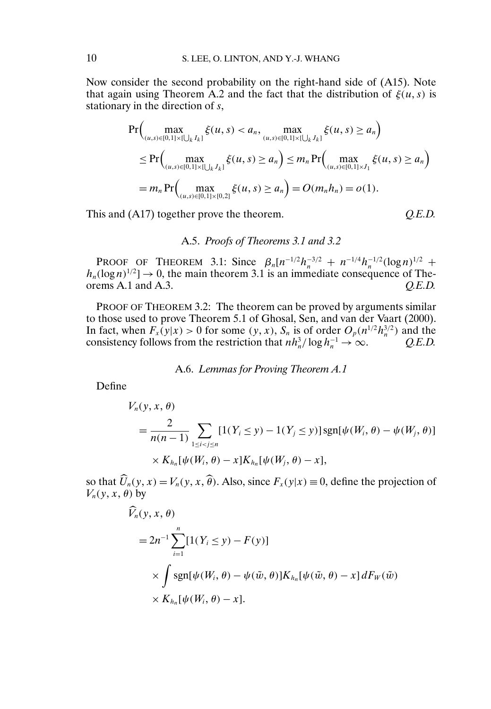Now consider the second probability on the right-hand side of (A15). Note that again using Theorem A.2 and the fact that the distribution of  $\xi(u, s)$  is stationary in the direction of s,

$$
\Pr\Big(\max_{(u,s)\in[0,1]\times[\bigcup_{k}I_{k}]} \xi(u,s) < a_n, \max_{(u,s)\in[0,1]\times[\bigcup_{k}I_{k}]} \xi(u,s) \ge a_n\Big) \\
\le \Pr\Big(\max_{(u,s)\in[0,1]\times[\bigcup_{k}I_{k}]} \xi(u,s) \ge a_n\Big) \le m_n \Pr\Big(\max_{(u,s)\in[0,1]\times I_1} \xi(u,s) \ge a_n\Big) \\
= m_n \Pr\Big(\max_{(u,s)\in[0,1]\times[0,2]} \xi(u,s) \ge a_n\Big) = O(m_n h_n) = o(1).
$$

This and (A17) together prove the theorem.

$$
Q.E.D.
$$

### A.5. *Proofs of Theorems 3.1 and 3.2*

PROOF OF THEOREM 3.1: Since  $\beta_n[n^{-1/2}h_n^{-3/2} + n^{-1/4}h_n^{-1/2}(\log n)^{1/2} +$  $h_n(\log n)^{1/2} \to 0$ , the main theorem 3.1 is an immediate consequence of Theorems A.1 and A.3.  $O.E.D.$ 

PROOF OF THEOREM 3.2: The theorem can be proved by arguments similar to those used to prove Theorem 5.1 of Ghosal, Sen, and van der Vaart (2000). In fact, when  $F_x(y|x) > 0$  for some  $(y, x)$ ,  $S_n$  is of order  $O_p(n^{1/2}h_n^{3/2})$  and the consistency follows from the restriction that  $nh_n^3 / \log h_n^{-1} \to \infty$ . *Q.E.D.* 

#### A.6. *Lemmas for Proving Theorem A.1*

Define

$$
V_n(y, x, \theta)
$$
  
= 
$$
\frac{2}{n(n-1)} \sum_{1 \le i < j \le n} [1(Y_i \le y) - 1(Y_j \le y)] \operatorname{sgn}[\psi(W_i, \theta) - \psi(W_j, \theta)]
$$
  
× 
$$
K_{h_n}[\psi(W_i, \theta) - x]K_{h_n}[\psi(W_j, \theta) - x],
$$

so that  $\hat{U}_n(y, x) = V_n(y, x, \hat{\theta})$ . Also, since  $F_x(y|x) \equiv 0$ , define the projection of  $V_n(y, x, \theta)$  by

$$
\widehat{V}_n(y, x, \theta)
$$
\n
$$
= 2n^{-1} \sum_{i=1}^n [1(Y_i \le y) - F(y)]
$$
\n
$$
\times \int \text{sgn}[\psi(W_i, \theta) - \psi(\tilde{w}, \theta)] K_{h_n}[\psi(\tilde{w}, \theta) - x] dF_W(\tilde{w})
$$
\n
$$
\times K_{h_n}[\psi(W_i, \theta) - x].
$$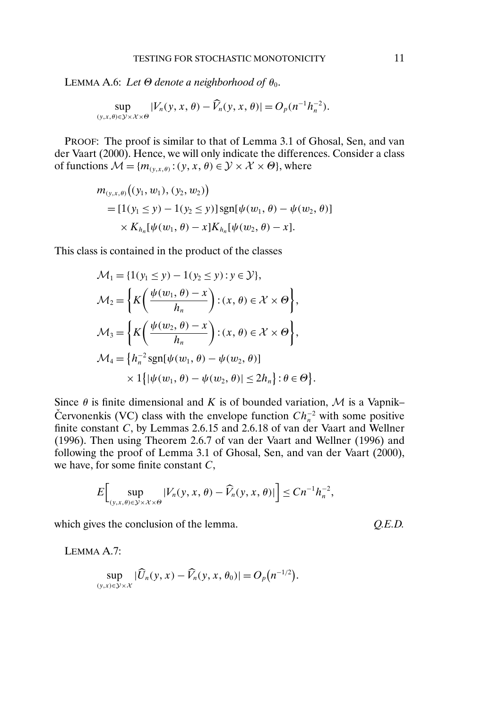LEMMA A.6: *Let*  $\Theta$  *denote a neighborhood of*  $\theta_0$ .

$$
\sup_{(y,x,\theta)\in\mathcal{Y}\times\mathcal{X}\times\Theta} |V_n(y,x,\theta)-\widehat{V}_n(y,x,\theta)|=O_p(n^{-1}h_n^{-2}).
$$

PROOF: The proof is similar to that of Lemma 3.1 of Ghosal, Sen, and van der Vaart (2000). Hence, we will only indicate the differences. Consider a class of functions  $\mathcal{M} = \{m_{(y,x,\theta)} : (y, x, \theta) \in \mathcal{Y} \times \mathcal{X} \times \Theta\}$ , where

$$
m_{(y,x,\theta)}((y_1, w_1), (y_2, w_2))
$$
  
=  $[1(y_1 \le y) - 1(y_2 \le y)]$ sgn[ $\psi(w_1, \theta) - \psi(w_2, \theta)$ ]  
 $\times K_{h_n}[\psi(w_1, \theta) - x]K_{h_n}[\psi(w_2, \theta) - x].$ 

This class is contained in the product of the classes

$$
\mathcal{M}_1 = \{1(y_1 \le y) - 1(y_2 \le y) : y \in \mathcal{Y}\},
$$
  
\n
$$
\mathcal{M}_2 = \left\{ K\left(\frac{\psi(w_1, \theta) - x}{h_n}\right) : (x, \theta) \in \mathcal{X} \times \Theta \right\},
$$
  
\n
$$
\mathcal{M}_3 = \left\{ K\left(\frac{\psi(w_2, \theta) - x}{h_n}\right) : (x, \theta) \in \mathcal{X} \times \Theta \right\},
$$
  
\n
$$
\mathcal{M}_4 = \left\{ h_n^{-2} \text{sgn}[\psi(w_1, \theta) - \psi(w_2, \theta)] \right\}
$$
  
\n
$$
\times 1 \left\{ |\psi(w_1, \theta) - \psi(w_2, \theta)| \le 2h_n \right\} : \theta \in \Theta \right\}.
$$

Since  $\theta$  is finite dimensional and K is of bounded variation, M is a Vapnik– Červonenkis (VC) class with the envelope function  $Ch_n^{-2}$  with some positive finite constant  $C$ , by Lemmas 2.6.15 and 2.6.18 of van der Vaart and Wellner (1996). Then using Theorem 2.6.7 of van der Vaart and Wellner (1996) and following the proof of Lemma 3.1 of Ghosal, Sen, and van der Vaart (2000), we have, for some finite constant C,

$$
E\bigg[\sup_{(y,x,\theta)\in\mathcal{Y}\times\mathcal{X}\times\Theta}|V_n(y,x,\theta)-\widehat{V}_n(y,x,\theta)|\bigg]\leq Cn^{-1}h_n^{-2},
$$

which gives the conclusion of the lemma.  $Q.E.D.$ 

LEMMA A.7:

$$
\sup_{(y,x)\in\mathcal{Y}\times\mathcal{X}}|\widehat{U}_n(y,x)-\widehat{V}_n(y,x,\theta_0)|=O_p(n^{-1/2}).
$$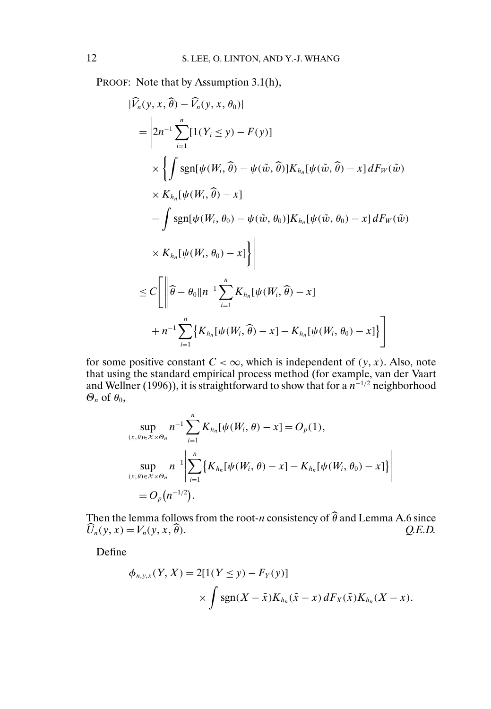PROOF: Note that by Assumption 3.1(h),

$$
\begin{split}\n|\widehat{V}_n(y, x, \widehat{\theta}) - \widehat{V}_n(y, x, \theta_0)| \\
&= \left| 2n^{-1} \sum_{i=1}^n [1(Y_i \le y) - F(y)] \right. \\
&\times \left\{ \int \operatorname{sgn}[\psi(W_i, \widehat{\theta}) - \psi(\tilde{w}, \widehat{\theta})] K_{h_n}[\psi(\tilde{w}, \widehat{\theta}) - x] dF_W(\tilde{w}) \right. \\
&\times K_{h_n}[\psi(W_i, \widehat{\theta}) - x] \\
&\quad - \int \operatorname{sgn}[\psi(W_i, \theta_0) - \psi(\tilde{w}, \theta_0)] K_{h_n}[\psi(\tilde{w}, \theta_0) - x] dF_W(\tilde{w}) \\
&\times K_{h_n}[\psi(W_i, \theta_0) - x] \right\} \\
&\leq C \left[ \left\| \widehat{\theta} - \theta_0 \| n^{-1} \sum_{i=1}^n K_{h_n}[\psi(W_i, \widehat{\theta}) - x] - K_{h_n}[\psi(W_i, \theta_0) - x] \right. \right\} \\
&\quad + n^{-1} \sum_{i=1}^n \left\{ K_{h_n}[\psi(W_i, \widehat{\theta}) - x] - K_{h_n}[\psi(W_i, \theta_0) - x] \right\} \right]\n\end{split}
$$

for some positive constant  $C < \infty$ , which is independent of  $(y, x)$ . Also, note that using the standard empirical process method (for example, van der Vaart and Wellner (1996)), it is straightforward to show that for a  $n^{-1/2}$  neighborhood  $\Theta_n$  of  $\theta_0$ ,

$$
\sup_{(x,\theta)\in\mathcal{X}\times\Theta_n} n^{-1} \sum_{i=1}^n K_{h_n}[\psi(W_i,\theta)-x] = O_p(1),
$$
  
\n
$$
\sup_{(x,\theta)\in\mathcal{X}\times\Theta_n} n^{-1} \left| \sum_{i=1}^n \left\{ K_{h_n}[\psi(W_i,\theta)-x] - K_{h_n}[\psi(W_i,\theta_0)-x] \right\} \right|
$$
  
\n
$$
= O_p(n^{-1/2}).
$$

Then the lemma follows from the root-n consistency of  $\theta$  and Lemma A.6 since  $\hat{U}_n(y, x) = V_n(y, x, \hat{\theta})$ θ). *Q.E.D.*

Define

$$
\phi_{n,y,x}(Y,X) = 2[1(Y \le y) - F_Y(y)]
$$
  
 
$$
\times \int \operatorname{sgn}(X - \tilde{x})K_{h_n}(\tilde{x} - x) dF_X(\tilde{x})K_{h_n}(X - x).
$$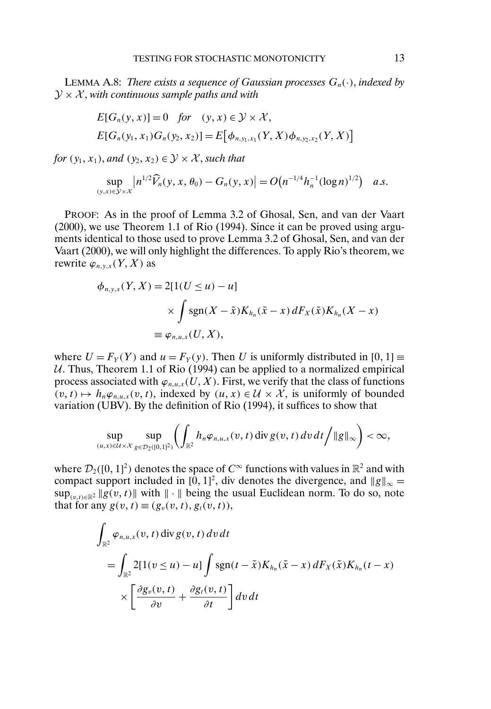LEMMA A.8: *There exists a sequence of Gaussian processes*  $G_n(\cdot)$ *, indexed by*  $\mathcal{Y} \times \mathcal{X}$ , with continuous sample paths and with

$$
E[G_n(y, x)] = 0 \quad \text{for} \quad (y, x) \in \mathcal{Y} \times \mathcal{X},
$$
  
 
$$
E[G_n(y_1, x_1)G_n(y_2, x_2)] = E[\phi_{n, y_1, x_1}(Y, X)\phi_{n, y_2, x_2}(Y, X)]
$$

*for*  $(y_1, x_1)$ *, and*  $(y_2, x_2) \in \mathcal{Y} \times \mathcal{X}$ *, such that* 

$$
\sup_{(y,x)\in\mathcal{Y}\times\mathcal{X}}\left|n^{1/2}\widehat{V}_n(y,x,\theta_0)-G_n(y,x)\right|=O\big(n^{-1/4}h_n^{-1}(\log n)^{1/2}\big)\quad a.s.
$$

PROOF: As in the proof of Lemma 3.2 of Ghosal, Sen, and van der Vaart (2000), we use Theorem 1.1 of Rio (1994). Since it can be proved using arguments identical to those used to prove Lemma 3.2 of Ghosal, Sen, and van der Vaart (2000), we will only highlight the differences. To apply Rio's theorem, we rewrite  $\varphi_{n,y,x}(Y,X)$  as

$$
\phi_{n,y,x}(Y,X) = 2[1(U \le u) - u]
$$
  
\$\times \int \operatorname{sgn}(X - \tilde{x})K\_{h\_n}(\tilde{x} - x) dF\_X(\tilde{x})K\_{h\_n}(X - x)\$  
\$\equiv \varphi\_{n,u,x}(U,X)\$,

where  $U = F_Y(Y)$  and  $u = F_Y(y)$ . Then U is uniformly distributed in [0, 1]  $\equiv$  $U$ . Thus, Theorem 1.1 of Rio (1994) can be applied to a normalized empirical process associated with  $\varphi_{n,u,x}(U,X).$  First, we verify that the class of functions  $(v, t) \mapsto h_n \varphi_{n,u,x}(v, t)$ , indexed by  $(u, x) \in \mathcal{U} \times \mathcal{X}$ , is uniformly of bounded variation (UBV). By the definition of Rio (1994), it suffices to show that

$$
\sup_{(u,x)\in\mathcal{U}\times\mathcal{X}}\sup_{g\in\mathcal{D}_2([0,1]^2)}\left(\int_{\mathbb{R}^2}h_n\varphi_{n,u,x}(v,t)\operatorname{div} g(v,t)\,dv\,dt\right/\|g\|_{\infty}\right)<\infty,
$$

where  $\mathcal{D}_2([0, 1]^2)$  denotes the space of  $C^\infty$  functions with values in  $\mathbb{R}^2$  and with compact support included in [0, 1]<sup>2</sup>, div denotes the divergence, and  $||g||_{\infty} =$  $\sup_{(v,t)\in\mathbb{R}^2} \|g(v,t)\|$  with  $\|\cdot\|$  being the usual Euclidean norm. To do so, note that for any  $g(v, t) \equiv (g_v(v, t), g_t(v, t)),$ 

$$
\int_{\mathbb{R}^2} \varphi_{n,u,x}(v,t) \operatorname{div} g(v,t) \, dv \, dt
$$
\n
$$
= \int_{\mathbb{R}^2} 2[1(v \le u) - u] \int \operatorname{sgn}(t - \tilde{x}) K_{h_n}(\tilde{x} - x) \, dF_X(\tilde{x}) K_{h_n}(t - x)
$$
\n
$$
\times \left[ \frac{\partial g_v(v,t)}{\partial v} + \frac{\partial g_t(v,t)}{\partial t} \right] dv \, dt
$$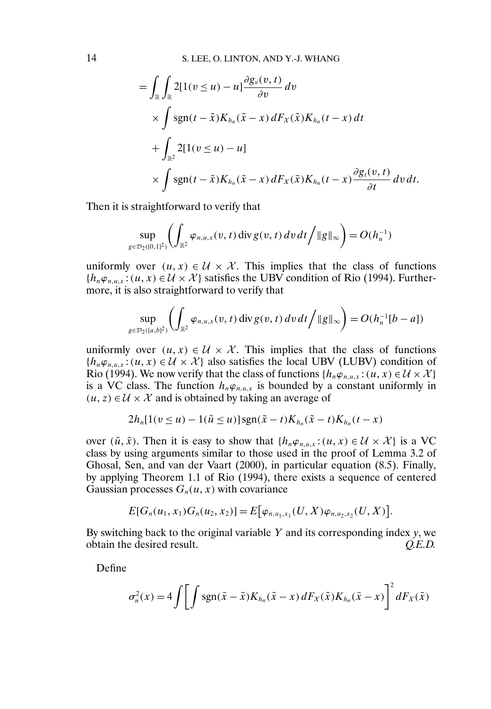$$
= \int_{\mathbb{R}} \int_{\mathbb{R}} 2[1(v \le u) - u] \frac{\partial g_v(v, t)}{\partial v} dv
$$
  
 
$$
\times \int \operatorname{sgn}(t - \tilde{x}) K_{h_n}(\tilde{x} - x) dF_X(\tilde{x}) K_{h_n}(t - x) dt
$$
  
+ 
$$
\int_{\mathbb{R}^2} 2[1(v \le u) - u]
$$
  
 
$$
\times \int \operatorname{sgn}(t - \tilde{x}) K_{h_n}(\tilde{x} - x) dF_X(\tilde{x}) K_{h_n}(t - x) \frac{\partial g_t(v, t)}{\partial t} dv dt.
$$

Then it is straightforward to verify that

$$
\sup_{g\in\mathcal{D}_2([0,1]^2)}\left(\int_{\mathbb{R}^2}\varphi_{n,u,x}(v,t)\,\mathrm{div}\,g(v,t)\,dv\,dt\big/\|g\|_{\infty}\right)=O(h_n^{-1})
$$

uniformly over  $(u, x) \in \mathcal{U} \times \mathcal{X}$ . This implies that the class of functions  $\{h_n\varphi_{n,u,x} : (u, x) \in \mathcal{U} \times \mathcal{X}\}\$  satisfies the UBV condition of Rio (1994). Furthermore, it is also straightforward to verify that

$$
\sup_{g\in\mathcal{D}_2([a,b]^2)}\left(\int_{\mathbb{R}^2}\varphi_{n,u,x}(v,t)\operatorname{div} g(v,t)\,dv\,dt\right/\|g\|_{\infty}\right)=O(h_n^{-1}[b-a])
$$

uniformly over  $(u, x) \in \mathcal{U} \times \mathcal{X}$ . This implies that the class of functions  ${h_n \varphi_{n,u,x}: (u, x) \in \mathcal{U} \times \mathcal{X}}$  also satisfies the local UBV (LUBV) condition of Rio (1994). We now verify that the class of functions  $\{h_n\varphi_{n,u,x} : (u, x) \in \mathcal{U} \times \mathcal{X}\}\$ is a VC class. The function  $h_n \varphi_{n,u,x}$  is bounded by a constant uniformly in  $(u, z) \in \mathcal{U} \times \mathcal{X}$  and is obtained by taking an average of

$$
2h_n[1(v \le u) - 1(\tilde{u} \le u)]\operatorname{sgn}(\tilde{x} - t)K_{h_n}(\tilde{x} - t)K_{h_n}(t - x)
$$

over  $(\tilde{u}, \tilde{x})$ . Then it is easy to show that  $\{h_n\varphi_{n,u,x} : (u, x) \in \mathcal{U} \times \mathcal{X}\}\)$  is a VC class by using arguments similar to those used in the proof of Lemma 3.2 of Ghosal, Sen, and van der Vaart (2000), in particular equation (8.5). Finally, by applying Theorem 1.1 of Rio (1994), there exists a sequence of centered Gaussian processes  $G_n(u, x)$  with covariance

$$
E[G_n(u_1, x_1)G_n(u_2, x_2)] = E[\varphi_{n, u_1, x_1}(U, X)\varphi_{n, u_2, x_2}(U, X)].
$$

By switching back to the original variable Y and its corresponding index  $y$ , we obtain the desired result. *Q.E.D.*

Define

$$
\sigma_n^2(x) = 4 \int \left[ \int \mathrm{sgn}(\bar{x} - \tilde{x}) K_{h_n}(\tilde{x} - x) dF_X(\tilde{x}) K_{h_n}(\bar{x} - x) \right]^2 dF_X(\bar{x})
$$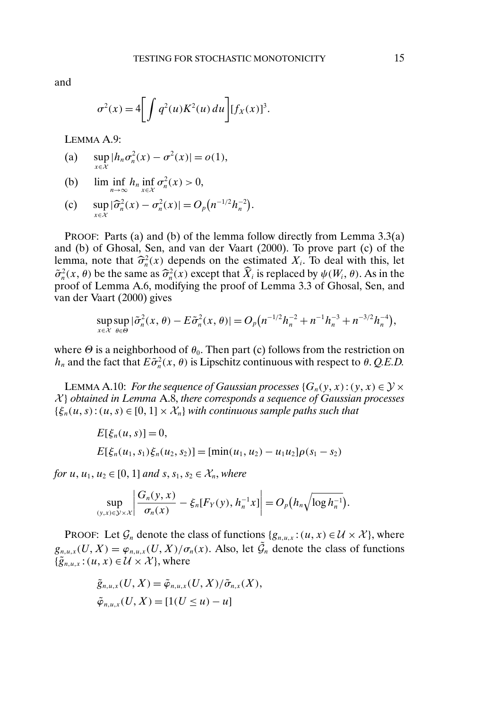and

$$
\sigma^2(x) = 4 \left[ \int q^2(u) K^2(u) \, du \right] [f_X(x)]^3.
$$

LEMMA A.9:

(a) 
$$
\sup_{x \in \mathcal{X}} |h_n \sigma_n^2(x) - \sigma^2(x)| = o(1),
$$

(b)  $\liminf_{n\to\infty} h_n \inf_{x\in\mathcal{X}} \sigma_n^2(x) > 0,$ 

(c) 
$$
\sup_{x \in \mathcal{X}} |\widehat{\sigma}_n^2(x) - \sigma_n^2(x)| = O_p(n^{-1/2} h_n^{-2}).
$$

PROOF: Parts (a) and (b) of the lemma follow directly from Lemma 3.3(a) and (b) of Ghosal, Sen, and van der Vaart (2000). To prove part (c) of the lemma, note that  $\hat{\sigma}_n^2(x)$  depends on the estimated  $X_i$ . To deal with this, let  $\tilde{\sigma}_n^2(x, \theta)$  be the same as  $\hat{\sigma}_n^2(x)$  except that  $\tilde{X}_i$  is replaced by  $\psi(W_i, \theta)$ . As in the proof of Lemma A.6, modifying the proof of Lemma 3.3 of Ghosal, Sen, and van der Vaart (2000) gives

$$
\sup_{x \in \mathcal{X}} \sup_{\theta \in \Theta} |\tilde{\sigma}_n^2(x, \theta) - E \tilde{\sigma}_n^2(x, \theta)| = O_p(n^{-1/2}h_n^{-2} + n^{-1}h_n^{-3} + n^{-3/2}h_n^{-4}),
$$

where  $\Theta$  is a neighborhood of  $\theta_0$ . Then part (c) follows from the restriction on  $h_n$  and the fact that  $E\tilde{\sigma}_n^2(x, \theta)$  is Lipschitz continuous with respect to  $\theta$ . *Q.E.D.* 

LEMMA A.10: *For the sequence of Gaussian processes*  $\{G_n(y, x) : (y, x) \in \mathcal{Y} \times \mathcal{Y} \}$ X } *obtained in Lemma* A.8, *there corresponds a sequence of Gaussian processes*  $\{\xi_n(u, s) : (u, s) \in [0, 1] \times \mathcal{X}_n\}$  with continuous sample paths such that

$$
E[\xi_n(u, s)] = 0,
$$
  
\n
$$
E[\xi_n(u_1, s_1)\xi_n(u_2, s_2)] = [\min(u_1, u_2) - u_1u_2]\rho(s_1 - s_2)
$$

*for*  $u, u_1, u_2 \in [0, 1]$  *and*  $s, s_1, s_2 \in \mathcal{X}_n$ , *where* 

$$
\sup_{(y,x)\in\mathcal{Y}\times\mathcal{X}}\left|\frac{G_n(y,x)}{\sigma_n(x)}-\xi_n[F_Y(y),h_n^{-1}x]\right|=O_p\big(h_n\sqrt{\log h_n^{-1}}\big).
$$

PROOF: Let  $\mathcal{G}_n$  denote the class of functions  $\{g_{n,u,x} : (u, x) \in \mathcal{U} \times \mathcal{X}\}\)$ , where  $g_{n,u,x}(U,X) = \varphi_{n,u,x}(U,X)/\sigma_n(x)$ . Also, let  $\tilde{\mathcal{G}}_n$  denote the class of functions  $\{\tilde{g}_{n,u,x}:(u,x)\in\mathcal{U}\times\mathcal{X}\}\text{, where}$ 

$$
\tilde{g}_{n,u,x}(U,X) = \tilde{\varphi}_{n,u,x}(U,X)/\tilde{\sigma}_{n,x}(X),
$$
  

$$
\tilde{\varphi}_{n,u,x}(U,X) = [1(U \le u) - u]
$$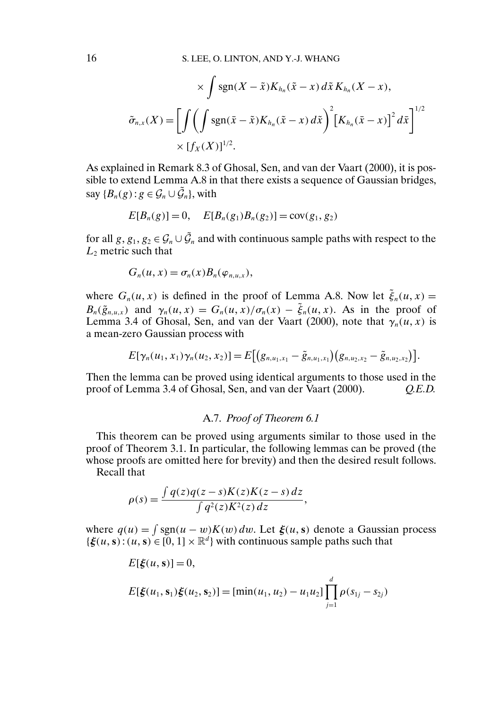$$
\times \int \operatorname{sgn}(X - \tilde{x}) K_{h_n}(\tilde{x} - x) d\tilde{x} K_{h_n}(X - x),
$$

$$
\tilde{\sigma}_{n,x}(X) = \left[ \int \left( \int \operatorname{sgn}(\bar{x} - \tilde{x}) K_{h_n}(\tilde{x} - x) d\tilde{x} \right)^2 \left[ K_{h_n}(\bar{x} - x) \right]^2 d\bar{x} \right]^{1/2}
$$

$$
\times [f_X(X)]^{1/2}.
$$

As explained in Remark 8.3 of Ghosal, Sen, and van der Vaart (2000), it is possible to extend Lemma A.8 in that there exists a sequence of Gaussian bridges, say  ${B_n(g) : g \in \mathcal{G}_n \cup \tilde{\mathcal{G}}_n}$ , with

$$
E[B_n(g)] = 0, \quad E[B_n(g_1)B_n(g_2)] = \text{cov}(g_1, g_2)
$$

for all  $g, g_1, g_2 \in \mathcal{G}_n \cup \tilde{\mathcal{G}}_n$  and with continuous sample paths with respect to the  $L_2$  metric such that

$$
G_n(u, x) = \sigma_n(x) B_n(\varphi_{n,u,x}),
$$

where  $G_n(u, x)$  is defined in the proof of Lemma A.8. Now let  $\tilde{\xi}_n(u, x) =$  $B_n(\tilde{g}_{n,u,x})$  and  $\gamma_n(u,x) = G_n(u,x)/\sigma_n(x) - \tilde{\xi}_n(u,x)$ . As in the proof of Lemma 3.4 of Ghosal, Sen, and van der Vaart (2000), note that  $\gamma_n(u, x)$  is a mean-zero Gaussian process with

$$
E[\gamma_n(u_1,x_1)\gamma_n(u_2,x_2)] = E[(g_{n,u_1,x_1}-\tilde{g}_{n,u_1,x_1})(g_{n,u_2,x_2}-\tilde{g}_{n,u_2,x_2})].
$$

Then the lemma can be proved using identical arguments to those used in the proof of Lemma 3.4 of Ghosal, Sen, and van der Vaart (2000). *Q.E.D.*

### A.7. *Proof of Theorem 6.1*

This theorem can be proved using arguments similar to those used in the proof of Theorem 3.1. In particular, the following lemmas can be proved (the whose proofs are omitted here for brevity) and then the desired result follows.

Recall that

$$
\rho(s) = \frac{\int q(z)q(z-s)K(z)K(z-s) dz}{\int q^2(z)K^2(z) dz},
$$

where  $q(u) = \int \text{sgn}(u - w)K(w) dw$ . Let  $\xi(u, s)$  denote a Gaussian process  ${\xi(u, s): (u, s) \in [0, 1] \times \mathbb{R}^d}$  with continuous sample paths such that

$$
E[\xi(u, s)] = 0,
$$
  
\n
$$
E[\xi(u_1, s_1)\xi(u_2, s_2)] = [\min(u_1, u_2) - u_1u_2] \prod_{j=1}^{d} \rho(s_{1j} - s_{2j})
$$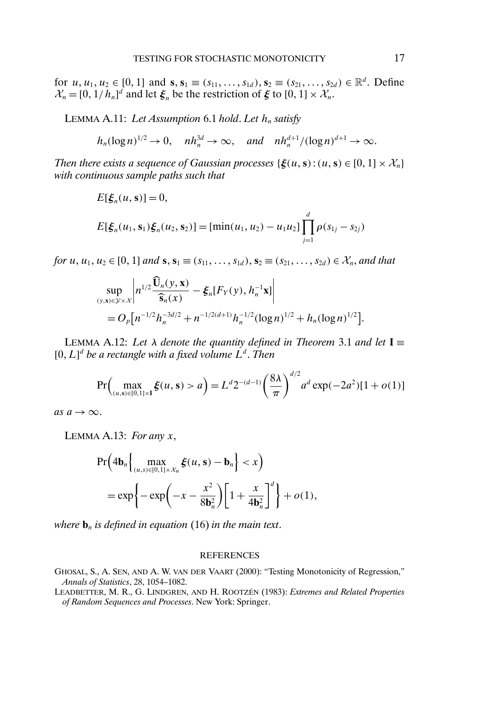for  $u, u_1, u_2 \in [0, 1]$  and  $\mathbf{s}, \mathbf{s}_1 \equiv (s_{11}, \dots, s_{1d}), \mathbf{s}_2 \equiv (s_{21}, \dots, s_{2d}) \in \mathbb{R}^d$ . Define  $\mathcal{X}_n = [0, 1/h_n]^d$  and let  $\xi_n$  be the restriction of  $\xi$  to  $[0, 1] \times \mathcal{X}_n$ .

LEMMA A.11: Let Assumption 6.1 hold. Let  $h_n$  satisfy

$$
h_n(\log n)^{1/2} \to 0
$$
,  $nh_n^{3d} \to \infty$ , and  $nh_n^{d+1}/(\log n)^{d+1} \to \infty$ .

*Then there exists a sequence of Gaussian processes*  $\{\xi(u, s) : (u, s) \in [0, 1] \times \mathcal{X}_n\}$ *with continuous sample paths such that*

$$
E[\xi_n(u, s)] = 0,
$$
  
\n
$$
E[\xi_n(u_1, s_1)\xi_n(u_2, s_2)] = [\min(u_1, u_2) - u_1u_2] \prod_{j=1}^d \rho(s_{1j} - s_{2j})
$$

*for*  $u, u_1, u_2 \in [0, 1]$  *and*  $\mathbf{s}, \mathbf{s}_1 \equiv (s_{11}, \ldots, s_{1d}), \mathbf{s}_2 \equiv (s_{21}, \ldots, s_{2d}) \in \mathcal{X}_n$ , *and that* 

$$
\sup_{(y,x)\in\mathcal{Y}\times\mathcal{X}}\left|n^{1/2}\frac{\widehat{\mathbf{U}}_n(y,\mathbf{x})}{\widehat{\mathbf{s}}_n(x)} - \xi_n[F_Y(y), h_n^{-1}\mathbf{x}]\right|
$$
  
=  $O_p[n^{-1/2}h_n^{-3d/2} + n^{-1/2(d+1)}h_n^{-1/2}(\log n)^{1/2} + h_n(\log n)^{1/2}].$ 

LEMMA A.12: Let  $\lambda$  *denote the quantity defined in Theorem* 3.1 *and let*  $I \equiv$  $[0, L]^d$  be a rectangle with a fixed volume  $L^d$ . Then

$$
\Pr\left(\max_{(u,\mathbf{s})\in[0,1]\times\mathbf{I}}\xi(u,\mathbf{s})>a\right)=L^d 2^{-(d-1)}\left(\frac{8\lambda}{\pi}\right)^{d/2}a^d\exp(-2a^2)[1+o(1)]
$$

*as*  $a \rightarrow \infty$ .

LEMMA A.13: *For any* x,

$$
\Pr\left(4\mathbf{b}_n\Big\{\max_{(u,s)\in[0,1]\times\mathcal{X}_n}\xi(u,s)-\mathbf{b}_n\Big\}  
= 
$$
\exp\left\{-\exp\left(-x-\frac{x^2}{8\mathbf{b}_n^2}\right)\left[1+\frac{x}{4\mathbf{b}_n^2}\right]^d\right\}+o(1),
$$
$$

*where*  $\mathbf{b}_n$  *is defined in equation* (16) *in the main text.* 

#### **REFERENCES**

GHOSAL, S., A. SEN, AND A. W. VAN DER VAART (2000): "Testing Monotonicity of Regression," *Annals of Statistics*, 28, 1054–1082.

LEADBETTER, M. R., G. LINDGREN, AND H. ROOTZÉN (1983): *Extremes and Related Properties of Random Sequences and Processes*. New York: Springer.